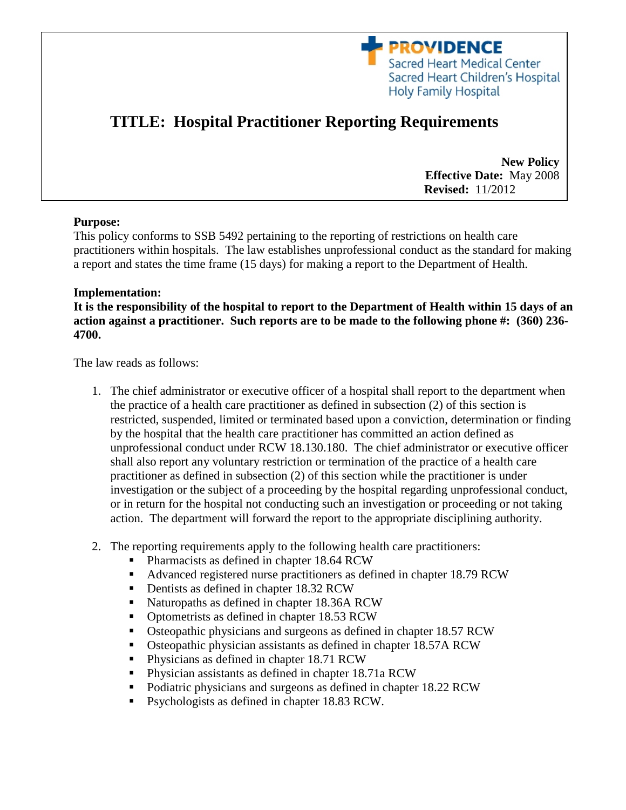

# **TITLE: Hospital Practitioner Reporting Requirements**

**New Policy Effective Date:** May 2008  **Revised:** 11/2012

## **Purpose:**

This policy conforms to SSB 5492 pertaining to the reporting of restrictions on health care practitioners within hospitals. The law establishes unprofessional conduct as the standard for making a report and states the time frame (15 days) for making a report to the Department of Health.

### **Implementation:**

**It is the responsibility of the hospital to report to the Department of Health within 15 days of an action against a practitioner. Such reports are to be made to the following phone #: (360) 236- 4700.**

The law reads as follows:

- 1. The chief administrator or executive officer of a hospital shall report to the department when the practice of a health care practitioner as defined in subsection (2) of this section is restricted, suspended, limited or terminated based upon a conviction, determination or finding by the hospital that the health care practitioner has committed an action defined as unprofessional conduct under RCW 18.130.180. The chief administrator or executive officer shall also report any voluntary restriction or termination of the practice of a health care practitioner as defined in subsection (2) of this section while the practitioner is under investigation or the subject of a proceeding by the hospital regarding unprofessional conduct, or in return for the hospital not conducting such an investigation or proceeding or not taking action. The department will forward the report to the appropriate disciplining authority.
- 2. The reporting requirements apply to the following health care practitioners:
	- Pharmacists as defined in chapter 18.64 RCW
	- Advanced registered nurse practitioners as defined in chapter 18.79 RCW
	- Dentists as defined in chapter 18.32 RCW
	- Naturopaths as defined in chapter 18.36A RCW
	- Optometrists as defined in chapter 18.53 RCW
	- Osteopathic physicians and surgeons as defined in chapter 18.57 RCW
	- Osteopathic physician assistants as defined in chapter 18.57A RCW
	- **Physicians as defined in chapter 18.71 RCW**
	- Physician assistants as defined in chapter 18.71a RCW
	- Podiatric physicians and surgeons as defined in chapter 18.22 RCW
	- **Psychologists as defined in chapter 18.83 RCW.**